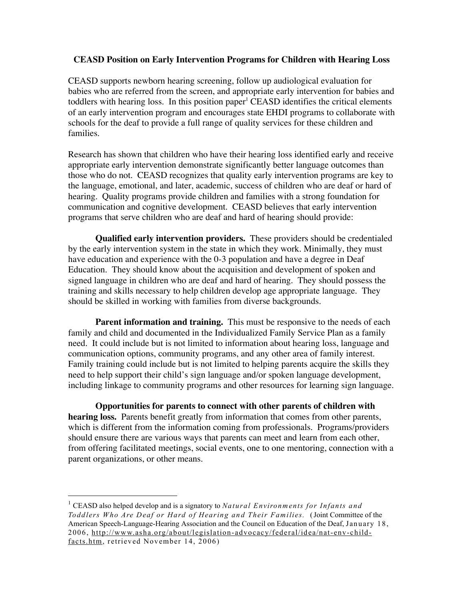## **CEASD Position on Early Intervention Programs for Children with Hearing Loss**

CEASD supports newborn hearing screening, follow up audiological evaluation for babies who are referred from the screen, and appropriate early intervention for babies and toddlers with hearing loss. In this position paper<sup>1</sup> CEASD identifies the critical elements of an early intervention program and encourages state EHDI programs to collaborate with schools for the deaf to provide a full range of quality services for these children and families.

Research has shown that children who have their hearing loss identified early and receive appropriate early intervention demonstrate significantly better language outcomes than those who do not. CEASD recognizes that quality early intervention programs are key to the language, emotional, and later, academic, success of children who are deaf or hard of hearing. Quality programs provide children and families with a strong foundation for communication and cognitive development. CEASD believes that early intervention programs that serve children who are deaf and hard of hearing should provide:

**Qualified early intervention providers.** These providers should be credentialed by the early intervention system in the state in which they work. Minimally, they must have education and experience with the 0-3 population and have a degree in Deaf Education. They should know about the acquisition and development of spoken and signed language in children who are deaf and hard of hearing. They should possess the training and skills necessary to help children develop age appropriate language. They should be skilled in working with families from diverse backgrounds.

**Parent information and training.** This must be responsive to the needs of each family and child and documented in the Individualized Family Service Plan as a family need. It could include but is not limited to information about hearing loss, language and communication options, community programs, and any other area of family interest. Family training could include but is not limited to helping parents acquire the skills they need to help support their child's sign language and/or spoken language development, including linkage to community programs and other resources for learning sign language.

**Opportunities for parents to connect with other parents of children with hearing loss.** Parents benefit greatly from information that comes from other parents, which is different from the information coming from professionals. Programs/providers should ensure there are various ways that parents can meet and learn from each other, from offering facilitated meetings, social events, one to one mentoring, connection with a parent organizations, or other means.

 <sup>1</sup> CEASD also helped develop and is a signatory to *Natural Environments for Infants <sup>a</sup> nd Todd lers Who Are Deaf or Hard o f Hearing an d Their Families.* (Joint Committee of the American Speech-Language-Hearing Association and the Council on Education of the Deaf, January 18, 2006, http://www.asha.org/about/legislation-advocacy/federal/idea/nat-env-childfacts.htm, retrieved November 14, 2006)